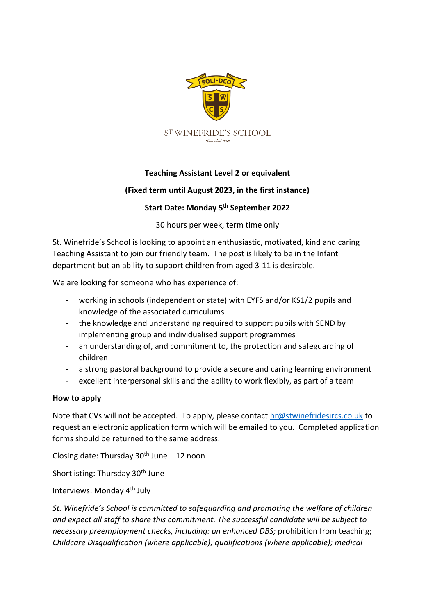

## **Teaching Assistant Level 2 or equivalent**

## **(Fixed term until August 2023, in the first instance)**

## **Start Date: Monday 5 th September 2022**

30 hours per week, term time only

St. Winefride's School is looking to appoint an enthusiastic, motivated, kind and caring Teaching Assistant to join our friendly team. The post is likely to be in the Infant department but an ability to support children from aged 3-11 is desirable.

We are looking for someone who has experience of:

- working in schools (independent or state) with EYFS and/or KS1/2 pupils and knowledge of the associated curriculums
- the knowledge and understanding required to support pupils with SEND by implementing group and individualised support programmes
- an understanding of, and commitment to, the protection and safeguarding of children
- a strong pastoral background to provide a secure and caring learning environment
- excellent interpersonal skills and the ability to work flexibly, as part of a team

## **How to apply**

Note that CVs will not be accepted. To apply, please contact [hr@stwinefridesircs.co.uk](mailto:hr@stwinefridesircs.co.uk) to request an electronic application form which will be emailed to you. Completed application forms should be returned to the same address.

Closing date: Thursday  $30<sup>th</sup>$  June – 12 noon

Shortlisting: Thursday 30<sup>th</sup> June

Interviews: Monday 4th July

*St. Winefride's School is committed to safeguarding and promoting the welfare of children and expect all staff to share this commitment. The successful candidate will be subject to necessary preemployment checks, including: an enhanced DBS;* prohibition from teaching; *Childcare Disqualification (where applicable); qualifications (where applicable); medical*